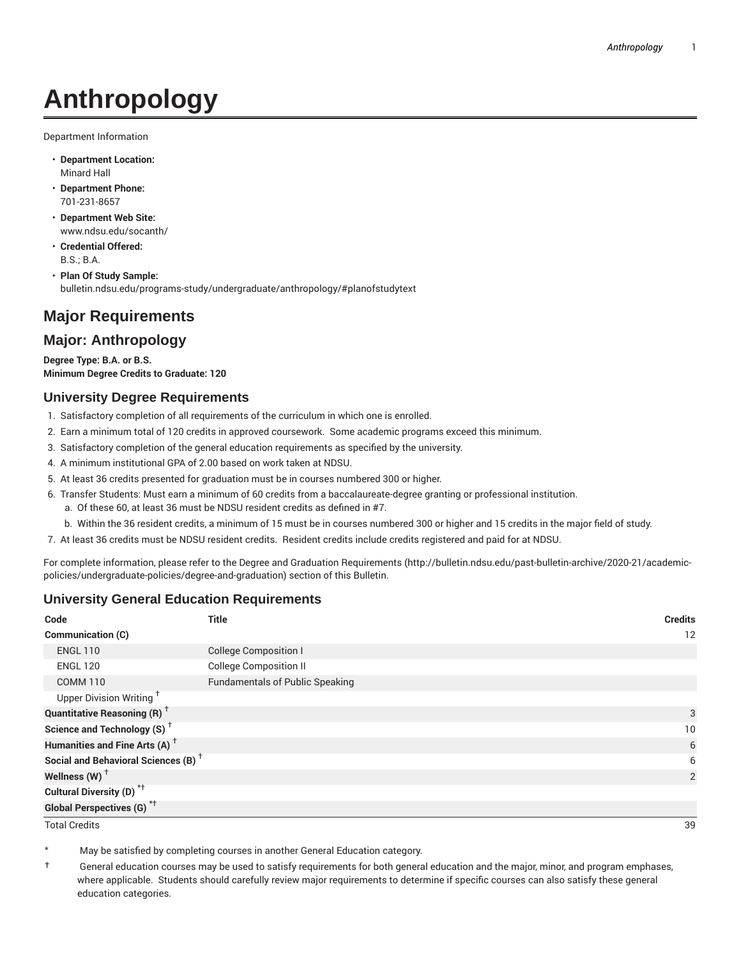# **Anthropology**

Department Information

- **Department Location:** Minard Hall
- **Department Phone:** 701-231-8657
- **Department Web Site:** www.ndsu.edu/socanth/
- **Credential Offered:** B.S.; B.A.

• **Plan Of Study Sample:** bulletin.ndsu.edu/programs-study/undergraduate/anthropology/#planofstudytext

## **Major Requirements**

### **Major: Anthropology**

**Degree Type: B.A. or B.S. Minimum Degree Credits to Graduate: 120**

#### **University Degree Requirements**

- 1. Satisfactory completion of all requirements of the curriculum in which one is enrolled.
- 2. Earn a minimum total of 120 credits in approved coursework. Some academic programs exceed this minimum.
- 3. Satisfactory completion of the general education requirements as specified by the university.
- 4. A minimum institutional GPA of 2.00 based on work taken at NDSU.
- 5. At least 36 credits presented for graduation must be in courses numbered 300 or higher.
- 6. Transfer Students: Must earn a minimum of 60 credits from a baccalaureate-degree granting or professional institution.
	- a. Of these 60, at least 36 must be NDSU resident credits as defined in #7.
	- b. Within the 36 resident credits, a minimum of 15 must be in courses numbered 300 or higher and 15 credits in the major field of study.
- 7. At least 36 credits must be NDSU resident credits. Resident credits include credits registered and paid for at NDSU.

For complete information, please refer to the Degree and Graduation Requirements (http://bulletin.ndsu.edu/past-bulletin-archive/2020-21/academicpolicies/undergraduate-policies/degree-and-graduation) section of this Bulletin.

#### **University General Education Requirements**

| Code                                            | <b>Title</b>                           | <b>Credits</b> |
|-------------------------------------------------|----------------------------------------|----------------|
| Communication (C)                               |                                        | 12             |
| <b>ENGL 110</b>                                 | <b>College Composition I</b>           |                |
| <b>ENGL 120</b>                                 | <b>College Composition II</b>          |                |
| <b>COMM 110</b>                                 | <b>Fundamentals of Public Speaking</b> |                |
| Upper Division Writing <sup>+</sup>             |                                        |                |
| <b>Quantitative Reasoning (R)</b> <sup>†</sup>  |                                        | 3              |
| Science and Technology (S) <sup>+</sup>         |                                        | 10             |
| Humanities and Fine Arts (A) <sup>+</sup>       |                                        | 6              |
| Social and Behavioral Sciences (B) <sup>+</sup> |                                        | 6              |
| Wellness $(W)$ <sup>+</sup>                     |                                        | 2              |
| Cultural Diversity (D) <sup>*†</sup>            |                                        |                |
| <b>Global Perspectives (G)<sup>*†</sup></b>     |                                        |                |

Total Credits 39

May be satisfied by completing courses in another General Education category.

† General education courses may be used to satisfy requirements for both general education and the major, minor, and program emphases, where applicable. Students should carefully review major requirements to determine if specific courses can also satisfy these general education categories.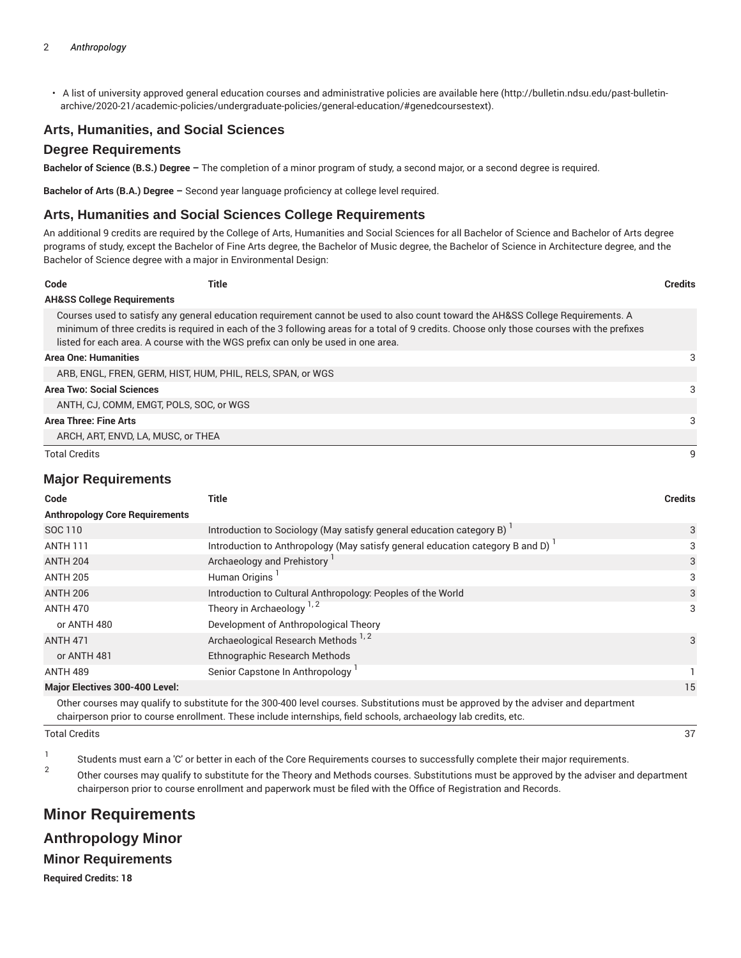• A list of university approved general education courses and administrative policies are available here (http://bulletin.ndsu.edu/past-bulletinarchive/2020-21/academic-policies/undergraduate-policies/general-education/#genedcoursestext).

#### **Arts, Humanities, and Social Sciences**

#### **Degree Requirements**

**Bachelor of Science (B.S.) Degree –** The completion of a minor program of study, a second major, or a second degree is required.

**Bachelor of Arts (B.A.) Degree –** Second year language proficiency at college level required.

#### **Arts, Humanities and Social Sciences College Requirements**

An additional 9 credits are required by the College of Arts, Humanities and Social Sciences for all Bachelor of Science and Bachelor of Arts degree programs of study, except the Bachelor of Fine Arts degree, the Bachelor of Music degree, the Bachelor of Science in Architecture degree, and the Bachelor of Science degree with a major in Environmental Design:

| Code                                  | Title                                                                            |                                                                                                                                                                                                                                                                                | <b>Credits</b> |
|---------------------------------------|----------------------------------------------------------------------------------|--------------------------------------------------------------------------------------------------------------------------------------------------------------------------------------------------------------------------------------------------------------------------------|----------------|
| <b>AH&amp;SS College Requirements</b> |                                                                                  |                                                                                                                                                                                                                                                                                |                |
|                                       | listed for each area. A course with the WGS prefix can only be used in one area. | Courses used to satisfy any general education requirement cannot be used to also count toward the AH&SS College Requirements. A<br>minimum of three credits is required in each of the 3 following areas for a total of 9 credits. Choose only those courses with the prefixes |                |
| <b>Area One: Humanities</b>           |                                                                                  |                                                                                                                                                                                                                                                                                | 3              |
|                                       | ARB, ENGL, FREN, GERM, HIST, HUM, PHIL, RELS, SPAN, or WGS                       |                                                                                                                                                                                                                                                                                |                |
| <b>Area Two: Social Sciences</b>      |                                                                                  |                                                                                                                                                                                                                                                                                | 3              |
|                                       | ANTH. CJ. COMM. EMGT. POLS. SOC. or WGS                                          |                                                                                                                                                                                                                                                                                |                |
| Area Three: Fine Arts                 |                                                                                  |                                                                                                                                                                                                                                                                                | 3              |
|                                       | ARCH, ART, ENVD, LA, MUSC, or THEA                                               |                                                                                                                                                                                                                                                                                |                |
| <b>Total Credits</b>                  |                                                                                  |                                                                                                                                                                                                                                                                                |                |

#### **Major Requirements**

| Code                                                                                                                                | Title                                                                                      | <b>Credits</b> |  |  |
|-------------------------------------------------------------------------------------------------------------------------------------|--------------------------------------------------------------------------------------------|----------------|--|--|
| <b>Anthropology Core Requirements</b>                                                                                               |                                                                                            |                |  |  |
| SOC 110                                                                                                                             | Introduction to Sociology (May satisfy general education category B)                       | 3              |  |  |
| <b>ANTH 111</b>                                                                                                                     | Introduction to Anthropology (May satisfy general education category B and D) <sup>1</sup> | 3              |  |  |
| <b>ANTH 204</b>                                                                                                                     | Archaeology and Prehistory <sup>1</sup>                                                    | 3              |  |  |
| <b>ANTH 205</b>                                                                                                                     | Human Origins                                                                              | 3              |  |  |
| <b>ANTH 206</b>                                                                                                                     | Introduction to Cultural Anthropology: Peoples of the World                                | 3              |  |  |
| <b>ANTH 470</b>                                                                                                                     | Theory in Archaeology $1, 2$                                                               | 3              |  |  |
| or ANTH 480                                                                                                                         | Development of Anthropological Theory                                                      |                |  |  |
| <b>ANTH 471</b>                                                                                                                     | Archaeological Research Methods <sup>1,2</sup>                                             | 3              |  |  |
| or ANTH 481                                                                                                                         | Ethnographic Research Methods                                                              |                |  |  |
| <b>ANTH 489</b>                                                                                                                     | Senior Capstone In Anthropology                                                            |                |  |  |
| <b>Major Electives 300-400 Level:</b>                                                                                               |                                                                                            | 15             |  |  |
| Other courses may qualify to substitute for the 300-400 level courses. Substitutions must be approved by the adviser and department |                                                                                            |                |  |  |

chairperson prior to course enrollment. These include internships, field schools, archaeology lab credits, etc.

#### Total Credits 37

1 Students must earn a 'C' or better in each of the Core Requirements courses to successfully complete their major requirements. 2

Other courses may qualify to substitute for the Theory and Methods courses. Substitutions must be approved by the adviser and department chairperson prior to course enrollment and paperwork must be filed with the Office of Registration and Records.

## **Minor Requirements Anthropology Minor Minor Requirements**

**Required Credits: 18**